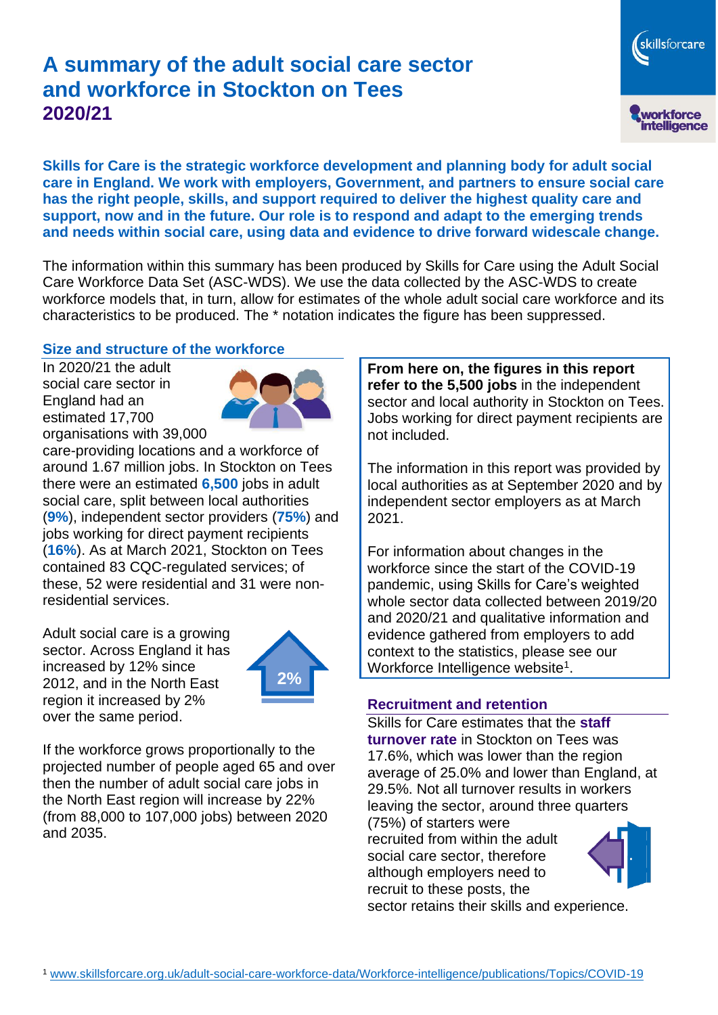# **A summary of the adult social care sector and workforce in Stockton on Tees 2020/21**

skillsforcare workforce<br>intelligence

**Skills for Care is the strategic workforce development and planning body for adult social care in England. We work with employers, Government, and partners to ensure social care has the right people, skills, and support required to deliver the highest quality care and support, now and in the future. Our role is to respond and adapt to the emerging trends and needs within social care, using data and evidence to drive forward widescale change.**

The information within this summary has been produced by Skills for Care using the Adult Social Care Workforce Data Set (ASC-WDS). We use the data collected by the ASC-WDS to create workforce models that, in turn, allow for estimates of the whole adult social care workforce and its characteristics to be produced. The \* notation indicates the figure has been suppressed.

#### **Size and structure of the workforce**

In 2020/21 the adult social care sector in England had an estimated 17,700 organisations with 39,000



care-providing locations and a workforce of around 1.67 million jobs. In Stockton on Tees there were an estimated **6,500** jobs in adult social care, split between local authorities (**9%**), independent sector providers (**75%**) and jobs working for direct payment recipients (**16%**). As at March 2021, Stockton on Tees contained 83 CQC-regulated services; of these, 52 were residential and 31 were nonresidential services.

Adult social care is a growing sector. Across England it has increased by 12% since 2012, and in the North East region it increased by 2% over the same period.



If the workforce grows proportionally to the projected number of people aged 65 and over then the number of adult social care jobs in the North East region will increase by 22% (from 88,000 to 107,000 jobs) between 2020 and 2035.

**From here on, the figures in this report refer to the 5,500 jobs** in the independent sector and local authority in Stockton on Tees. Jobs working for direct payment recipients are not included.

The information in this report was provided by local authorities as at September 2020 and by independent sector employers as at March 2021.

For information about changes in the workforce since the start of the COVID-19 pandemic, using Skills for Care's weighted whole sector data collected between 2019/20 and 2020/21 and qualitative information and evidence gathered from employers to add context to the statistics, please see our Workforce Intelligence website<sup>1</sup>.

#### **Recruitment and retention**

Skills for Care estimates that the **staff turnover rate** in Stockton on Tees was 17.6%, which was lower than the region average of 25.0% and lower than England, at 29.5%. Not all turnover results in workers leaving the sector, around three quarters

(75%) of starters were recruited from within the adult social care sector, therefore although employers need to recruit to these posts, the sector retains their skills and experience.

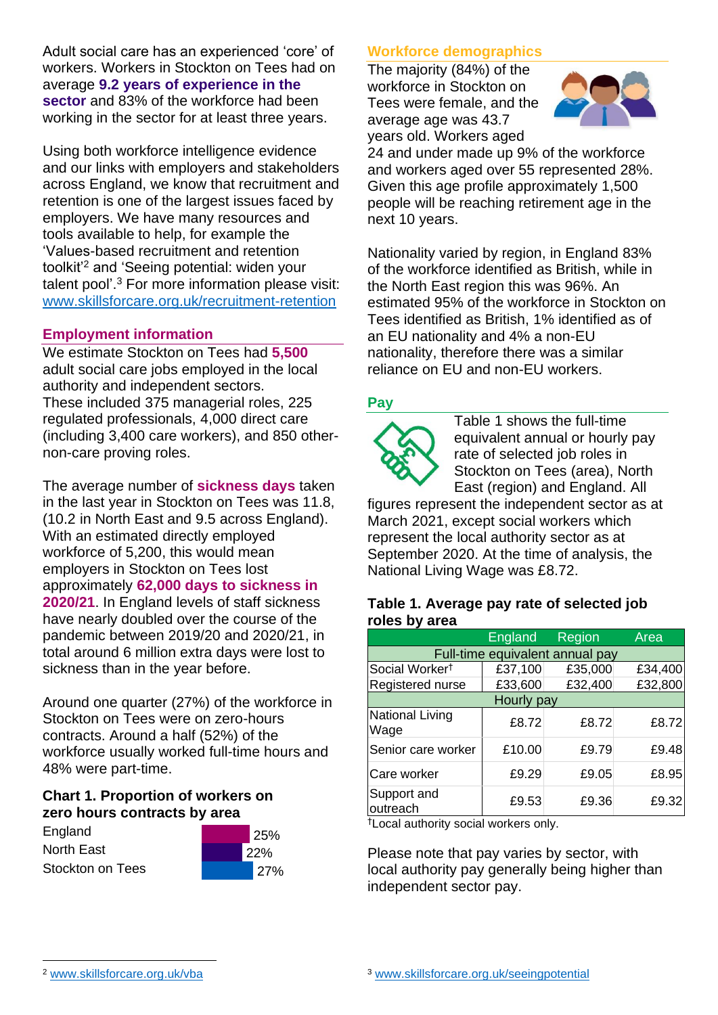Adult social care has an experienced 'core' of workers. Workers in Stockton on Tees had on average **9.2 years of experience in the sector** and 83% of the workforce had been working in the sector for at least three years.

Using both workforce intelligence evidence and our links with employers and stakeholders across England, we know that recruitment and retention is one of the largest issues faced by employers. We have many resources and tools available to help, for example the 'Values-based recruitment and retention toolkit'<sup>2</sup> and 'Seeing potential: widen your talent pool'. <sup>3</sup> For more information please visit: [www.skillsforcare.org.uk/recruitment-retention](http://www.skillsforcare.org.uk/recruitment-retention)

#### **Employment information**

We estimate Stockton on Tees had **5,500** adult social care jobs employed in the local authority and independent sectors. These included 375 managerial roles, 225 regulated professionals, 4,000 direct care (including 3,400 care workers), and 850 othernon-care proving roles.

The average number of **sickness days** taken in the last year in Stockton on Tees was 11.8, (10.2 in North East and 9.5 across England). With an estimated directly employed workforce of 5,200, this would mean employers in Stockton on Tees lost approximately **62,000 days to sickness in 2020/21**. In England levels of staff sickness have nearly doubled over the course of the pandemic between 2019/20 and 2020/21, in total around 6 million extra days were lost to sickness than in the year before.

Around one quarter (27%) of the workforce in Stockton on Tees were on zero-hours contracts. Around a half (52%) of the workforce usually worked full-time hours and 48% were part-time.

#### **Chart 1. Proportion of workers on zero hours contracts by area**

| England                 |  |
|-------------------------|--|
| <b>North East</b>       |  |
| <b>Stockton on Tees</b> |  |



### **Workforce demographics**

The majority (84%) of the workforce in Stockton on Tees were female, and the average age was 43.7 years old. Workers aged



24 and under made up 9% of the workforce and workers aged over 55 represented 28%. Given this age profile approximately 1,500 people will be reaching retirement age in the next 10 years.

Nationality varied by region, in England 83% of the workforce identified as British, while in the North East region this was 96%. An estimated 95% of the workforce in Stockton on Tees identified as British, 1% identified as of an EU nationality and 4% a non-EU nationality, therefore there was a similar reliance on EU and non-EU workers.

### **Pay**



Table 1 shows the full-time equivalent annual or hourly pay rate of selected job roles in Stockton on Tees (area), North East (region) and England. All

figures represent the independent sector as at March 2021, except social workers which represent the local authority sector as at September 2020. At the time of analysis, the National Living Wage was £8.72.

#### **Table 1. Average pay rate of selected job roles by area**

|                                 | England | Region  | Area    |  |
|---------------------------------|---------|---------|---------|--|
| Full-time equivalent annual pay |         |         |         |  |
| Social Worker <sup>t</sup>      | £37,100 | £35,000 | £34,400 |  |
| Registered nurse                | £33,600 | £32,400 | £32,800 |  |
| Hourly pay                      |         |         |         |  |
| <b>National Living</b><br>Wage  | £8.72   | £8.72   | £8.72   |  |
| Senior care worker              | £10.00  | £9.79   | £9.48   |  |
| Care worker                     | £9.29   | £9.05   | £8.95   |  |
| Support and<br>outreach         | £9.53   | £9.36   | £9.32   |  |

†Local authority social workers only.

Please note that pay varies by sector, with local authority pay generally being higher than independent sector pay.

[www.skillsforcare.org.uk/vba](http://www.skillsforcare.org.uk/vba)